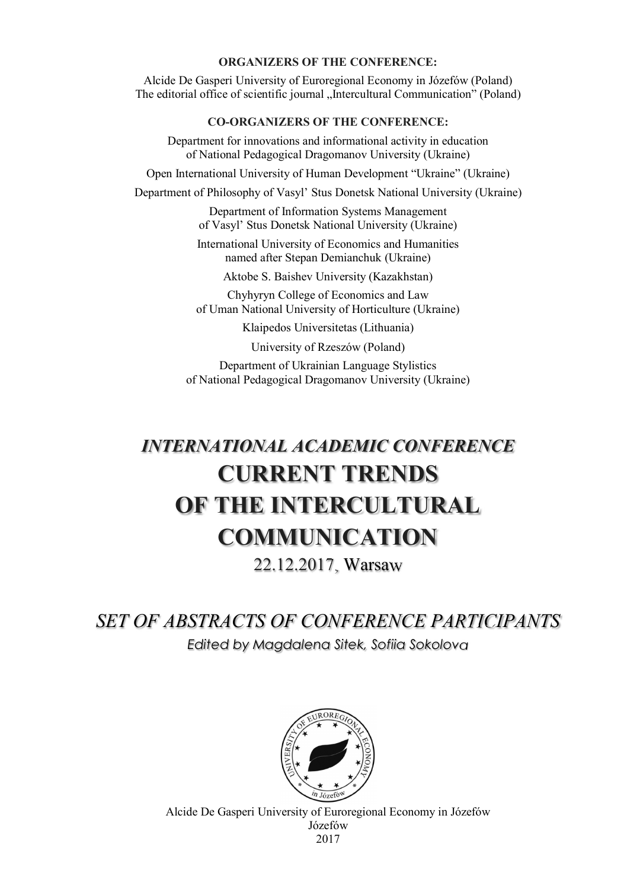#### ORGANIZERS OF THE CONFERENCE:

Alcide De Gasperi University of Euroregional Economy in Józefów (Poland) The editorial office of scientific journal "Intercultural Communication" (Poland)

### CO-ORGANIZERS OF THE CONFERENCE:

Department for innovations and informational activity in education of National Pedagogical Dragomanov University (Ukraine) Open International University of Human Development "Ukraine" (Ukraine) Department of Philosophy of Vasyl' Stus Donetsk National University (Ukraine) Department of Information Systems Management of Vasyl' Stus Donetsk National University (Ukraine) International University of Economics and Humanities named after Stepan Demianchuk (Ukraine) Aktobe S. Baishev University (Kazakhstan) Chyhyryn College of Economics and Law of Uman National University of Horticulture (Ukraine)

Klaipedos Universitetas (Lithuania)

University of Rzeszów (Poland)

Department of Ukrainian Language Stylistics of National Pedagogical Dragomanov University (Ukraine)

# INTERNATIONAL ACADEMIC CONFERENCE CURRENT TRENDS OF THE INTERCULTURAL. COMMUNICATION

22.12.2017, Warsaw

SET OF ABSTRACTS OF CONFERENCE PARTICIPANTS Edited by Magdalena Sitek, Sofiia Sokolova



Alcide De Gasperi University of Euroregional Economy in Józefów Józefów 2017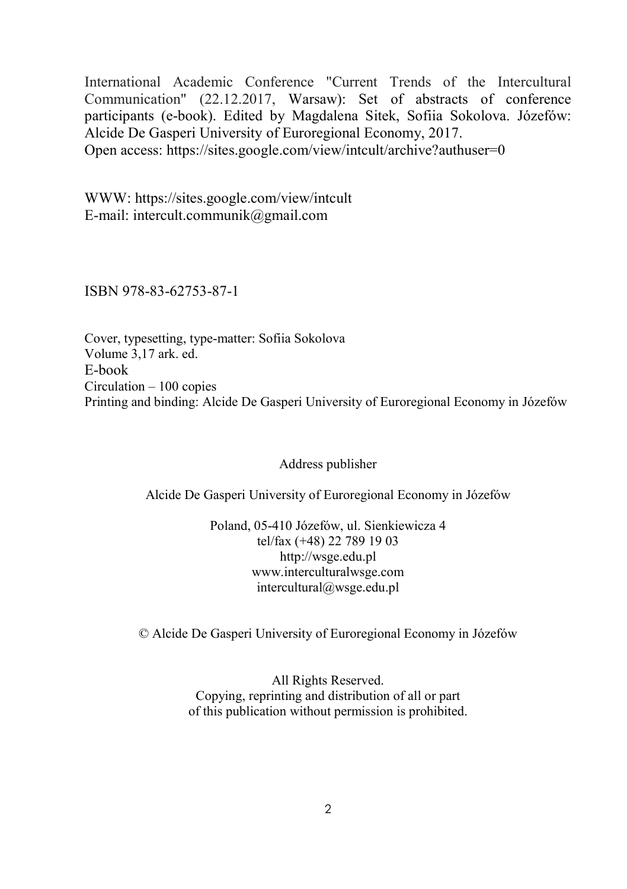International Academic Conference "Current Trends of the Intercultural Communication" (22.12.2017, Warsaw): Set of abstracts of conference participants (e-book). Edited by Magdalena Sitek, Sofiia Sokolova. Józefów: Alcide De Gasperi University of Euroregional Economy, 2017. Open access: https://sites.google.com/view/intcult/archive?authuser=0

WWW: https://sites.google.com/view/intcult E-mail: intercult.communik@gmail.com

ISBN 978-83-62753-87-1

Cover, typesetting, type-matter: Sofiia Sokolova Volume 3,17 ark. ed. E-book Circulation – 100 copies Printing and binding: Alcide De Gasperi University of Euroregional Economy in Józefów

Address publisher

Alcide De Gasperi University of Euroregional Economy in Józefów

Poland, 05-410 Józefów, ul. Sienkiewicza 4 tel/fax (+48) 22 789 19 03 http://wsge.edu.pl www.interculturalwsge.com intercultural@wsge.edu.pl

© Alcide De Gasperi University of Euroregional Economy in Józefów

All Rights Reserved. Copying, reprinting and distribution of all or part of this publication without permission is prohibited.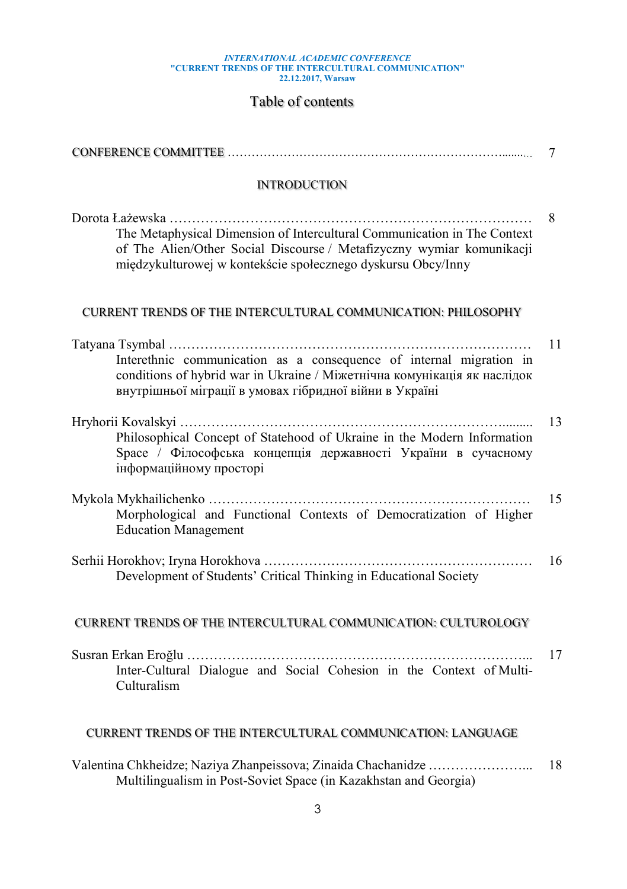# INTERNATIONAL ACADEMIC CONFERENCE<br>"CURRENT TRENDS OF THE INTERCULTURAL COMMUNICATION"<br>22.12.2017, Warsaw

## Table of contents

|                                                                                                                                                                                                                   | 7  |
|-------------------------------------------------------------------------------------------------------------------------------------------------------------------------------------------------------------------|----|
| <b>INTRODUCTION</b>                                                                                                                                                                                               |    |
| The Metaphysical Dimension of Intercultural Communication in The Context<br>of The Alien/Other Social Discourse / Metafizyczny wymiar komunikacji<br>międzykulturowej w kontekście społecznego dyskursu Obcy/Inny | 8  |
| CURRENT TRENDS OF THE INTERCULTURAL COMMUNICATION: PHILOSOPHY                                                                                                                                                     |    |
|                                                                                                                                                                                                                   | 11 |
| Interethnic communication as a consequence of internal migration in<br>conditions of hybrid war in Ukraine / Міжетнічна комунікація як наслідок<br>внутрішньої міграції в умовах гібридної війни в Україні        |    |
| Philosophical Concept of Statehood of Ukraine in the Modern Information<br>Space / Філософська концепція державності України в сучасному<br>інформаційному просторі                                               | 13 |
| Morphological and Functional Contexts of Democratization of Higher<br><b>Education Management</b>                                                                                                                 | 15 |
| Development of Students' Critical Thinking in Educational Society                                                                                                                                                 | 16 |
| <b>CURRENT TRENDS OF THE INTERCULTURAL COMMUNICATION: CULTUROLOGY</b>                                                                                                                                             |    |
| Inter-Cultural Dialogue and Social Cohesion in the Context of Multi-<br>Culturalism                                                                                                                               | 17 |
| <b>CURRENT TRENDS OF THE INTERCULTURAL COMMUNICATION: LANGUAGE</b>                                                                                                                                                |    |
| Multilingualism in Post-Soviet Space (in Kazakhstan and Georgia)                                                                                                                                                  | 18 |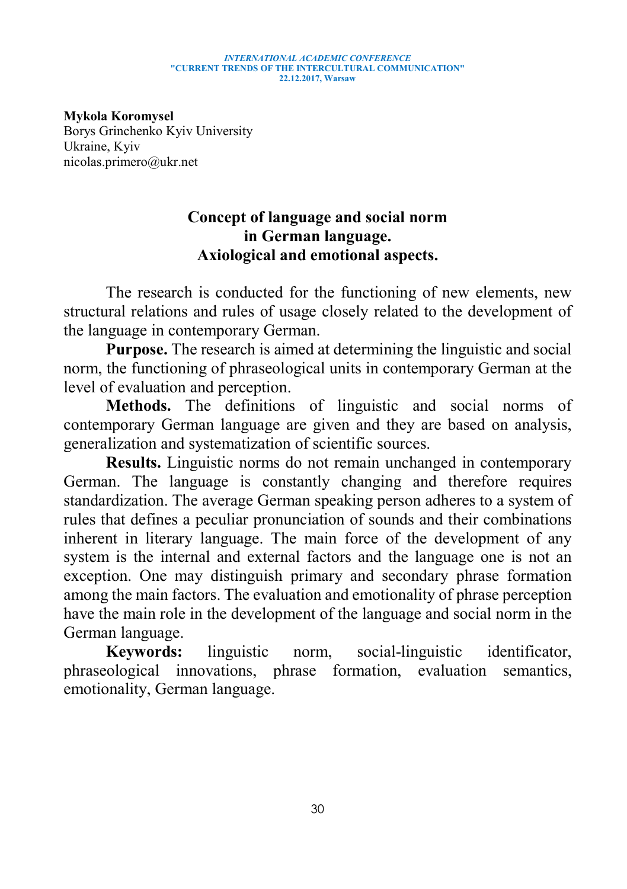#### INTERNATIONAL ACADEMIC CONFERENCE "CURRENT TRENDS OF THE INTERCULTURAL COMMUNICATION" 22.12.2017, Warsaw

Mykola Koromysel Borys Grinchenko Kyiv University Ukraine, Kyiv nicolas.primero@ukr.net

## Concept of language and social norm in German language. Axiological and emotional aspects.

The research is conducted for the functioning of new elements, new structural relations and rules of usage closely related to the development of the language in contemporary German.

Purpose. The research is aimed at determining the linguistic and social norm, the functioning of phraseological units in contemporary German at the level of evaluation and perception.

Methods. The definitions of linguistic and social norms of contemporary German language are given and they are based on analysis, generalization and systematization of scientific sources.

Results. Linguistic norms do not remain unchanged in contemporary German. The language is constantly changing and therefore requires standardization. The average German speaking person adheres to a system of rules that defines a peculiar pronunciation of sounds and their combinations inherent in literary language. The main force of the development of any system is the internal and external factors and the language one is not an exception. One may distinguish primary and secondary phrase formation among the main factors. The evaluation and emotionality of phrase perception have the main role in the development of the language and social norm in the German language.

Keywords: linguistic norm, social-linguistic identificator, phraseological innovations, phrase formation, evaluation semantics, emotionality, German language.